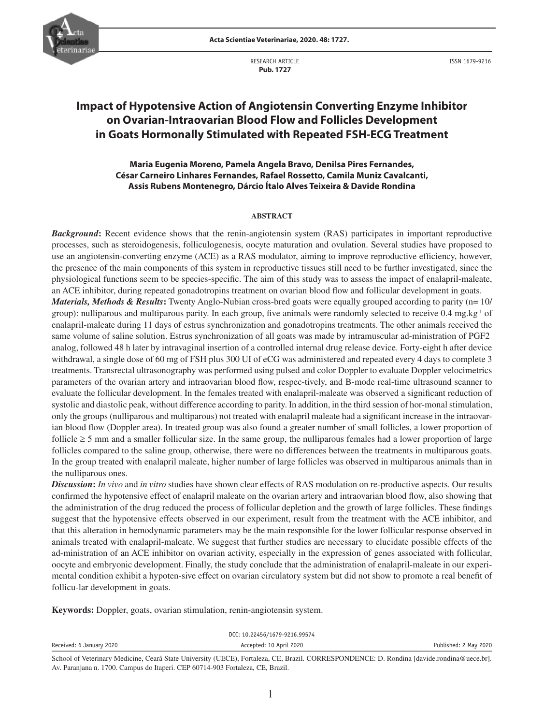

RESEARCH ARTICLE  **Pub. 1727**

ISSN 1679-9216

# **Impact of Hypotensive Action of Angiotensin Converting Enzyme Inhibitor on Ovarian-Intraovarian Blood Flow and Follicles Development in Goats Hormonally Stimulated with Repeated FSH-ECG Treatment**

## **Maria Eugenia Moreno, Pamela Angela Bravo, Denilsa Pires Fernandes, César Carneiro Linhares Fernandes, Rafael Rossetto, Camila Muniz Cavalcanti, Assis Rubens Montenegro, Dárcio Ítalo Alves Teixeira & Davide Rondina**

## **ABSTRACT**

*Background***:** Recent evidence shows that the renin-angiotensin system (RAS) participates in important reproductive processes, such as steroidogenesis, folliculogenesis, oocyte maturation and ovulation. Several studies have proposed to use an angiotensin-converting enzyme (ACE) as a RAS modulator, aiming to improve reproductive efficiency, however, the presence of the main components of this system in reproductive tissues still need to be further investigated, since the physiological functions seem to be species-specific. The aim of this study was to assess the impact of enalapril-maleate, an ACE inhibitor, during repeated gonadotropins treatment on ovarian blood flow and follicular development in goats.

*Materials, Methods & Results***:** Twenty Anglo-Nubian cross-bred goats were equally grouped according to parity (n= 10/ group): nulliparous and multiparous parity. In each group, five animals were randomly selected to receive  $0.4 \text{ mg} \cdot \text{kg}^{-1}$  of enalapril-maleate during 11 days of estrus synchronization and gonadotropins treatments. The other animals received the same volume of saline solution. Estrus synchronization of all goats was made by intramuscular ad-ministration of PGF2 analog, followed 48 h later by intravaginal insertion of a controlled internal drug release device. Forty-eight h after device withdrawal, a single dose of 60 mg of FSH plus 300 UI of eCG was administered and repeated every 4 days to complete 3 treatments. Transrectal ultrasonography was performed using pulsed and color Doppler to evaluate Doppler velocimetrics parameters of the ovarian artery and intraovarian blood flow, respec-tively, and B-mode real-time ultrasound scanner to evaluate the follicular development. In the females treated with enalapril-maleate was observed a significant reduction of systolic and diastolic peak, without difference according to parity. In addition, in the third session of hor-monal stimulation, only the groups (nulliparous and multiparous) not treated with enalapril maleate had a significant increase in the intraovarian blood flow (Doppler area). In treated group was also found a greater number of small follicles, a lower proportion of follicle  $\geq$  5 mm and a smaller follicular size. In the same group, the nulliparous females had a lower proportion of large follicles compared to the saline group, otherwise, there were no differences between the treatments in multiparous goats. In the group treated with enalapril maleate, higher number of large follicles was observed in multiparous animals than in the nulliparous ones.

*Discussion***:** *In vivo* and *in vitro* studies have shown clear effects of RAS modulation on re-productive aspects. Our results confirmed the hypotensive effect of enalapril maleate on the ovarian artery and intraovarian blood flow, also showing that the administration of the drug reduced the process of follicular depletion and the growth of large follicles. These findings suggest that the hypotensive effects observed in our experiment, result from the treatment with the ACE inhibitor, and that this alteration in hemodynamic parameters may be the main responsible for the lower follicular response observed in animals treated with enalapril-maleate. We suggest that further studies are necessary to elucidate possible effects of the ad-ministration of an ACE inhibitor on ovarian activity, especially in the expression of genes associated with follicular, oocyte and embryonic development. Finally, the study conclude that the administration of enalapril-maleate in our experimental condition exhibit a hypoten-sive effect on ovarian circulatory system but did not show to promote a real benefit of follicu-lar development in goats.

**Keywords:** Doppler, goats, ovarian stimulation, renin-angiotensin system.

|                          | DOI: 10.22456/1679-9216.99574                                                                                         |                       |  |  |  |
|--------------------------|-----------------------------------------------------------------------------------------------------------------------|-----------------------|--|--|--|
| Received: 6 January 2020 | Accepted: 10 April 2020                                                                                               | Published: 2 May 2020 |  |  |  |
|                          | الماله المنادي المستحدث والمستحدث والمستحدث المستحدث المستحدث المستحدث المتارين المستحدث المستحدث والمستحدث والمستحدث |                       |  |  |  |

School of Veterinary Medicine, Ceará State University (UECE), Fortaleza, CE, Brazil. CORRESPONDENCE: D. Rondina [davide.rondina@uece.br]. Av. Paranjana n. 1700. Campus do Itaperi. CEP 60714-903 Fortaleza, CE, Brazil.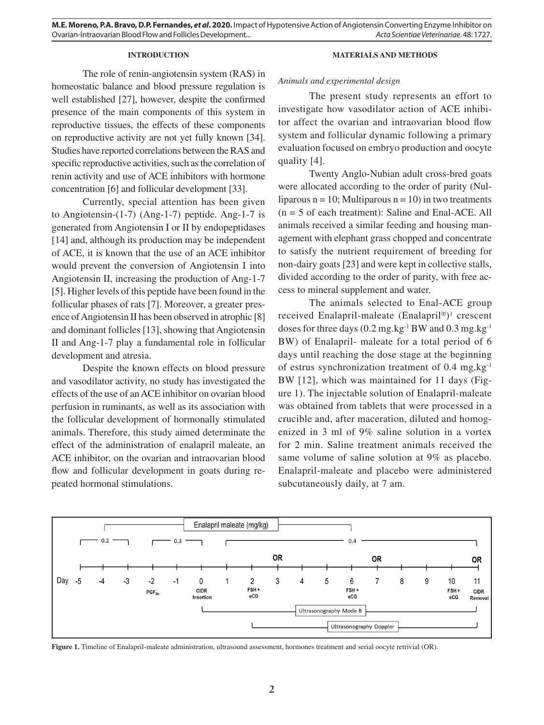## **INTRODUCTION**

#### **MATERIALS AND METHODS**

The role of renin-angiotensin system (RAS) in homeostatic balance and blood pressure regulation is well established [27], however, despite the confirmed presence of the main components of this system in reproductive tissues, the effects of these components on reproductive activity are not yet fully known [34]. Studies have reported correlations between the RAS and specific reproductive activities, such as the correlation of renin activity and use of ACE inhibitors with hormone concentration [6] and follicular development [33].

Currently, special attention has been given to Angiotensin-(1-7) (Ang-1-7) peptide. Ang-1-7 is generated from Angiotensin I or II by endopeptidases [14] and, although its production may be independent of ACE, it is known that the use of an ACE inhibitor would prevent the conversion of Angiotensin I into Angiotensin II, increasing the production of Ang-1-7 [5]. Higher levels of this peptide have been found in the follicular phases of rats [7]. Moreover, a greater presence of Angiotensin II has been observed in atrophic [8] and dominant follicles [13], showing that Angiotensin II and Ang-1-7 play a fundamental role in follicular development and atresia.

Despite the known effects on blood pressure and vasodilator activity, no study has investigated the effects of the use of an ACE inhibitor on ovarian blood perfusion in ruminants, as well as its association with the follicular development of hormonally stimulated animals. Therefore, this study aimed determinate the effect of the administration of enalapril maleate, an ACE inhibitor, on the ovarian and intraovarian blood flow and follicular development in goats during repeated hormonal stimulations.

#### *Animals and experimental design*

The present study represents an effort to investigate how vasodilator action of ACE inhibitor affect the ovarian and intraovarian blood flow system and follicular dynamic following a primary evaluation focused on embryo production and oocyte quality [4].

Twenty Anglo-Nubian adult cross-bred goats were allocated according to the order of parity (Nulliparous  $n = 10$ ; Multiparous  $n = 10$ ) in two treatments  $(n = 5$  of each treatment): Saline and Enal-ACE. All animals received a similar feeding and housing management with elephant grass chopped and concentrate to satisfy the nutrient requirement of breeding for non-dairy goats [23] and were kept in collective stalls, divided according to the order of parity, with free access to mineral supplement and water.

The animals selected to Enal-ACE group received Enalapril-maleate (Enalapril®)1 crescent doses for three days  $(0.2 \text{ mg} \cdot \text{kg}^{-1} \text{BW}$  and  $0.3 \text{ mg} \cdot \text{kg}^{-1}$ BW) of Enalapril- maleate for a total period of 6 days until reaching the dose stage at the beginning of estrus synchronization treatment of 0.4 mg.kg-1 BW [12], which was maintained for 11 days (Figure 1). The injectable solution of Enalapril-maleate was obtained from tablets that were processed in a crucible and, after maceration, diluted and homogenized in 3 ml of 9% saline solution in a vortex for 2 min. Saline treatment animals received the same volume of saline solution at 9% as placebo. Enalapril-maleate and placebo were administered subcutaneously daily, at 7 am.



**Figure 1.** Timeline of Enalapril-maleate administration, ultrasound assessment, hormones treatment and serial oocyte retrivial (OR).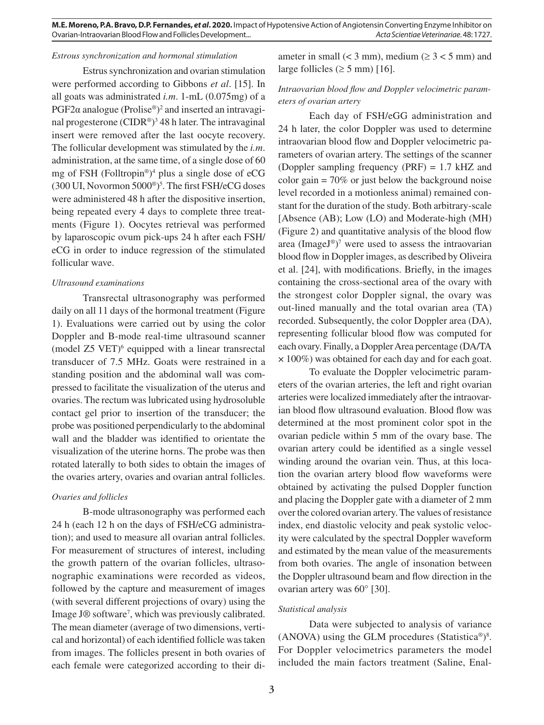## *Estrous synchronization and hormonal stimulation*

Estrus synchronization and ovarian stimulation were performed according to Gibbons *et al*. [15]. In all goats was administrated *i.m*. 1-mL (0.075mg) of a PGF2 $\alpha$  analogue (Prolise®)<sup>2</sup> and inserted an intravaginal progesterone (CIDR®) 3 48 h later. The intravaginal insert were removed after the last oocyte recovery. The follicular development was stimulated by the *i.m*. administration, at the same time, of a single dose of 60 mg of FSH (Folltropin®)<sup>4</sup> plus a single dose of eCG (300 UI, Novormon 5000®) 5 . The first FSH/eCG doses were administered 48 h after the dispositive insertion, being repeated every 4 days to complete three treatments (Figure 1). Oocytes retrieval was performed by laparoscopic ovum pick-ups 24 h after each FSH/ eCG in order to induce regression of the stimulated follicular wave.

## *Ultrasound examinations*

Transrectal ultrasonography was performed daily on all 11 days of the hormonal treatment (Figure 1). Evaluations were carried out by using the color Doppler and B-mode real-time ultrasound scanner (model Z5 VET)<sup>6</sup> equipped with a linear transrectal transducer of 7.5 MHz. Goats were restrained in a standing position and the abdominal wall was compressed to facilitate the visualization of the uterus and ovaries. The rectum was lubricated using hydrosoluble contact gel prior to insertion of the transducer; the probe was positioned perpendicularly to the abdominal wall and the bladder was identified to orientate the visualization of the uterine horns. The probe was then rotated laterally to both sides to obtain the images of the ovaries artery, ovaries and ovarian antral follicles.

## *Ovaries and follicles*

B-mode ultrasonography was performed each 24 h (each 12 h on the days of FSH/eCG administration); and used to measure all ovarian antral follicles. For measurement of structures of interest, including the growth pattern of the ovarian follicles, ultrasonographic examinations were recorded as videos, followed by the capture and measurement of images (with several different projections of ovary) using the Image J® software<sup>7</sup>, which was previously calibrated. The mean diameter (average of two dimensions, vertical and horizontal) of each identified follicle was taken from images. The follicles present in both ovaries of each female were categorized according to their di-

ameter in small (< 3 mm), medium ( $\geq$  3 < 5 mm) and large follicles ( $\geq$  5 mm) [16].

# *Intraovarian blood flow and Doppler velocimetric parameters of ovarian artery*

Each day of FSH/eGG administration and 24 h later, the color Doppler was used to determine intraovarian blood flow and Doppler velocimetric parameters of ovarian artery. The settings of the scanner (Doppler sampling frequency (PRF) = 1.7 kHZ and color gain  $= 70\%$  or just below the background noise level recorded in a motionless animal) remained constant for the duration of the study. Both arbitrary-scale [Absence (AB); Low (LO) and Moderate-high (MH) (Figure 2) and quantitative analysis of the blood flow area (ImageJ®) 7 were used to assess the intraovarian blood flow in Doppler images, as described by Oliveira et al. [24], with modifications. Briefly, in the images containing the cross-sectional area of the ovary with the strongest color Doppler signal, the ovary was out-lined manually and the total ovarian area (TA) recorded. Subsequently, the color Doppler area (DA), representing follicular blood flow was computed for each ovary. Finally, a Doppler Area percentage (DA/TA × 100%) was obtained for each day and for each goat.

To evaluate the Doppler velocimetric parameters of the ovarian arteries, the left and right ovarian arteries were localized immediately after the intraovarian blood flow ultrasound evaluation. Blood flow was determined at the most prominent color spot in the ovarian pedicle within 5 mm of the ovary base. The ovarian artery could be identified as a single vessel winding around the ovarian vein. Thus, at this location the ovarian artery blood flow waveforms were obtained by activating the pulsed Doppler function and placing the Doppler gate with a diameter of 2 mm over the colored ovarian artery. The values of resistance index, end diastolic velocity and peak systolic velocity were calculated by the spectral Doppler waveform and estimated by the mean value of the measurements from both ovaries. The angle of insonation between the Doppler ultrasound beam and flow direction in the ovarian artery was 60° [30].

## *Statistical analysis*

Data were subjected to analysis of variance  $(ANOVA)$  using the GLM procedures  $(Statistica^{\circledast})^8$ . For Doppler velocimetrics parameters the model included the main factors treatment (Saline, Enal-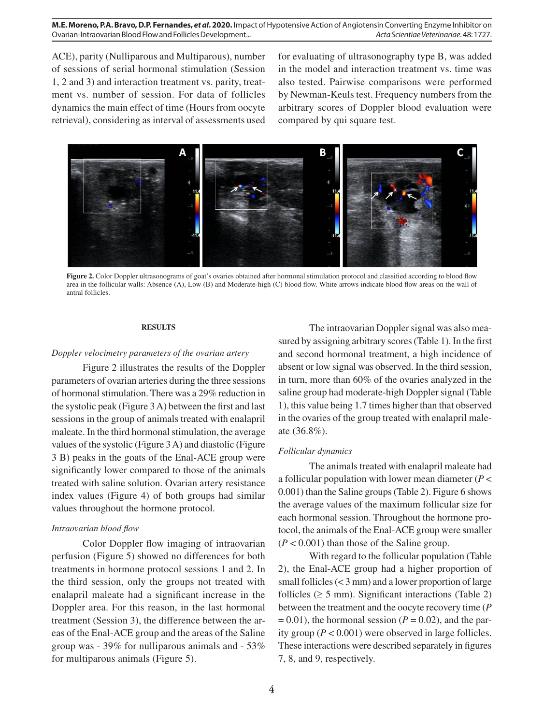ACE), parity (Nulliparous and Multiparous), number of sessions of serial hormonal stimulation (Session 1, 2 and 3) and interaction treatment vs. parity, treatment vs. number of session. For data of follicles dynamics the main effect of time (Hours from oocyte retrieval), considering as interval of assessments used for evaluating of ultrasonography type B, was added in the model and interaction treatment vs. time was also tested. Pairwise comparisons were performed by Newman-Keuls test. Frequency numbers from the arbitrary scores of Doppler blood evaluation were compared by qui square test.



Figure 2. Color Doppler ultrasonograms of goat's ovaries obtained after hormonal stimulation protocol and classified according to blood flow area in the follicular walls: Absence (A), Low (B) and Moderate-high (C) blood flow. White arrows indicate blood flow areas on the wall of antral follicles.

### **RESULTS**

#### *Doppler velocimetry parameters of the ovarian artery*

Figure 2 illustrates the results of the Doppler parameters of ovarian arteries during the three sessions of hormonal stimulation. There was a 29% reduction in the systolic peak (Figure 3 A) between the first and last sessions in the group of animals treated with enalapril maleate. In the third hormonal stimulation, the average values of the systolic (Figure 3 A) and diastolic (Figure 3 B) peaks in the goats of the Enal-ACE group were significantly lower compared to those of the animals treated with saline solution. Ovarian artery resistance index values (Figure 4) of both groups had similar values throughout the hormone protocol.

#### *Intraovarian blood flow*

Color Doppler flow imaging of intraovarian perfusion (Figure 5) showed no differences for both treatments in hormone protocol sessions 1 and 2. In the third session, only the groups not treated with enalapril maleate had a significant increase in the Doppler area. For this reason, in the last hormonal treatment (Session 3), the difference between the areas of the Enal-ACE group and the areas of the Saline group was - 39% for nulliparous animals and - 53% for multiparous animals (Figure 5).

The intraovarian Doppler signal was also measured by assigning arbitrary scores (Table 1). In the first and second hormonal treatment, a high incidence of absent or low signal was observed. In the third session, in turn, more than 60% of the ovaries analyzed in the saline group had moderate-high Doppler signal (Table 1), this value being 1.7 times higher than that observed in the ovaries of the group treated with enalapril maleate (36.8%).

#### *Follicular dynamics*

The animals treated with enalapril maleate had a follicular population with lower mean diameter (*P* < 0.001) than the Saline groups (Table 2). Figure 6 shows the average values of the maximum follicular size for each hormonal session. Throughout the hormone protocol, the animals of the Enal-ACE group were smaller  $(P < 0.001)$  than those of the Saline group.

With regard to the follicular population (Table 2), the Enal-ACE group had a higher proportion of small follicles (< 3 mm) and a lower proportion of large follicles ( $\geq$  5 mm). Significant interactions (Table 2) between the treatment and the oocyte recovery time (*P*   $= 0.01$ ), the hormonal session ( $P = 0.02$ ), and the parity group  $(P < 0.001)$  were observed in large follicles. These interactions were described separately in figures 7, 8, and 9, respectively.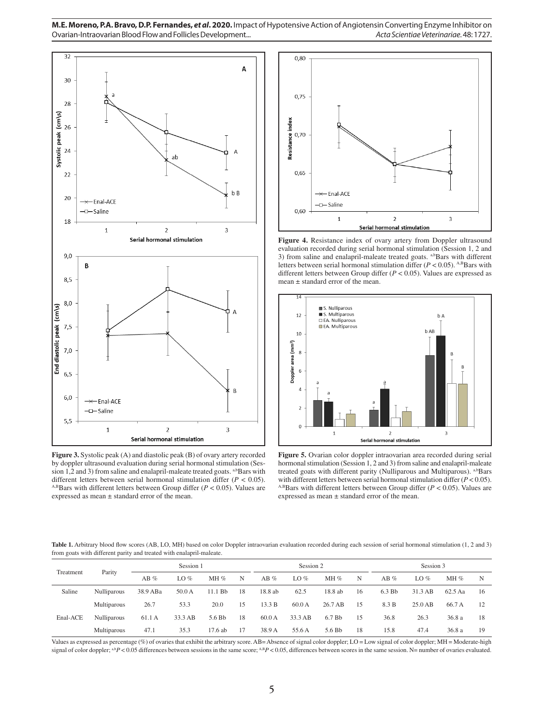**M.E. Moreno, P.A. Bravo, D.P. Fernandes,** *et al***. 2020.** Impact of Hypotensive Action of Angiotensin Converting Enzyme Inhibitor on Ovarian-Intraovarian Blood Flow and Follicles Development... *Acta Scientiae Veterinariae*. 48: 1727.



**Figure 3.** Systolic peak (A) and diastolic peak (B) of ovary artery recorded by doppler ultrasound evaluation during serial hormonal stimulation (Session  $1,2$  and 3) from saline and enalapril-maleate treated goats. a,bBars with different letters between serial hormonal stimulation differ ( $P < 0.05$ ). A,BBars with different letters between Group differ ( $P < 0.05$ ). Values are expressed as mean ± standard error of the mean.



**Figure 4.** Resistance index of ovary artery from Doppler ultrasound evaluation recorded during serial hormonal stimulation (Session 1, 2 and 3) from saline and enalapril-maleate treated goats.  $a$ ,bBars with different letters between serial hormonal stimulation differ  $(P < 0.05)$ . A,BBars with different letters between Group differ (*P* < 0.05). Values are expressed as mean  $\pm$  standard error of the mean.



**Figure 5.** Ovarian color doppler intraovarian area recorded during serial hormonal stimulation (Session 1, 2 and 3) from saline and enalapril-maleate treated goats with different parity (Nulliparous and Multiparous). a,bBars with different letters between serial hormonal stimulation differ  $(P < 0.05)$ .<br>A,BBars with different letters between Group differ  $(P < 0.05)$ . Values are expressed as mean ± standard error of the mean.

**Table 1.** Arbitrary blood flow scores (AB, LO, MH) based on color Doppler intraovarian evaluation recorded during each session of serial hormonal stimulation (1, 2 and 3) from goats with different parity and treated with enalapril-maleate.

| Treatment | Parity             | Session 1 |         |         |    | Session 2 |         |         |    | Session 3 |           |         |    |
|-----------|--------------------|-----------|---------|---------|----|-----------|---------|---------|----|-----------|-----------|---------|----|
|           |                    | $AB\%$    | LO%     | $MH$ %  | N  | $AB\%$    | LO%     | MH%     | N  | $AB\%$    | LO%       | MH $%$  | N  |
| Saline    | Nulliparous        | 38.9 ABa  | 50.0A   | 11.1 Bb | 18 | 18.8 ab   | 62.5    | 18.8 ab | 16 | $6.3$ Bb  | 31.3 AB   | 62.5 Aa | 16 |
| Enal-ACE  | Multiparous        | 26.7      | 53.3    | 20.0    | 15 | 13.3 B    | 60.0 A  | 26.7 AB | 15 | 8.3 B     | $25.0$ AB | 66.7 A  | 12 |
|           | <b>Nulliparous</b> | 61.1 A    | 33.3 AB | 5.6 Bb  | 18 | 60.0A     | 33.3 AB | 6.7 Bb  | 15 | 36.8      | 26.3      | 36.8 a  | 18 |
|           | Multiparous        | 47.1      | 35.3    | 17.6ab  | 17 | 38.9 A    | 55.6 A  | 5.6 Bb  | 18 | 15.8      | 47.4      | 36.8 a  | 19 |

Values as expressed as percentage (%) of ovaries that exhibit the arbitrary score. AB= Absence of signal color doppler; LO = Low signal of color doppler; MH = Moderate-high signal of color doppler; a,b<sub>*P*</sub> < 0.05 differences between sessions in the same score; A,B<sub>*P*</sub> < 0.05, differences between scores in the same session. N= number of ovaries evaluated.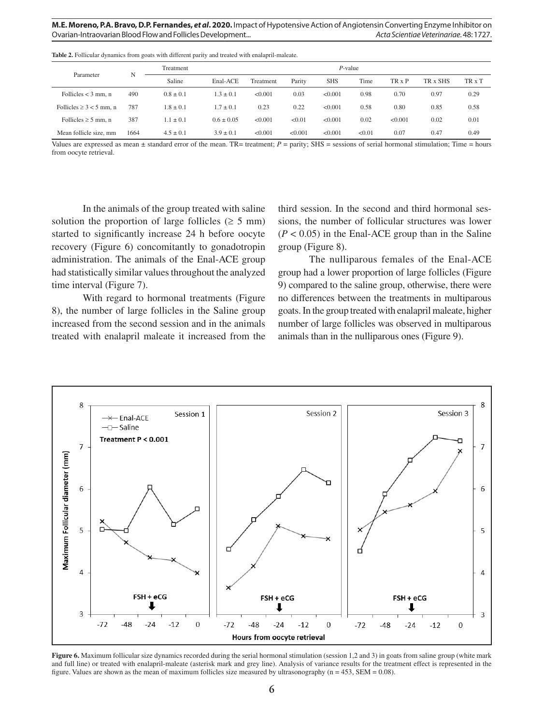| Parameter                    | N    | Treatment     | $P$ -value     |           |         |            |        |         |          |        |
|------------------------------|------|---------------|----------------|-----------|---------|------------|--------|---------|----------|--------|
|                              |      | Saline        | Enal-ACE       | Treatment | Parity  | <b>SHS</b> | Time   | TR x P  | TR x SHS | TR x T |
| Follicles $<$ 3 mm, n        | 490  | $0.8 \pm 0.1$ | $1.3 \pm 0.1$  | < 0.001   | 0.03    | <0.001     | 0.98   | 0.70    | 0.97     | 0.29   |
| Follicles $\geq 3 < 5$ mm, n | 787  | $1.8 \pm 0.1$ | $1.7 \pm 0.1$  | 0.23      | 0.22    | < 0.001    | 0.58   | 0.80    | 0.85     | 0.58   |
| Follicles $\geq$ 5 mm, n     | 387  | $1.1 \pm 0.1$ | $0.6 \pm 0.05$ | < 0.001   | < 0.01  | <0.001     | 0.02   | < 0.001 | 0.02     | 0.01   |
| Mean follicle size, mm       | 1664 | $4.5 \pm 0.1$ | $3.9 \pm 0.1$  | < 0.001   | < 0.001 | < 0.001    | < 0.01 | 0.07    | 0.47     | 0.49   |

**Table 2.** Follicular dynamics from goats with different parity and treated with enalapril-maleate.

Values are expressed as mean  $\pm$  standard error of the mean. TR= treatment;  $P =$  parity; SHS = sessions of serial hormonal stimulation; Time = hours from oocyte retrieval.

In the animals of the group treated with saline solution the proportion of large follicles ( $\geq$  5 mm) started to significantly increase 24 h before oocyte recovery (Figure 6) concomitantly to gonadotropin administration. The animals of the Enal-ACE group had statistically similar values throughout the analyzed time interval (Figure 7).

With regard to hormonal treatments (Figure 8), the number of large follicles in the Saline group increased from the second session and in the animals treated with enalapril maleate it increased from the third session. In the second and third hormonal sessions, the number of follicular structures was lower  $(P < 0.05)$  in the Enal-ACE group than in the Saline group (Figure 8).

The nulliparous females of the Enal-ACE group had a lower proportion of large follicles (Figure 9) compared to the saline group, otherwise, there were no differences between the treatments in multiparous goats. In the group treated with enalapril maleate, higher number of large follicles was observed in multiparous animals than in the nulliparous ones (Figure 9).



**Figure 6.** Maximum follicular size dynamics recorded during the serial hormonal stimulation (session 1,2 and 3) in goats from saline group (white mark and full line) or treated with enalapril-maleate (asterisk mark and grey line). Analysis of variance results for the treatment effect is represented in the figure. Values are shown as the mean of maximum follicles size measured by ultrasonography ( $n = 453$ , SEM = 0.08).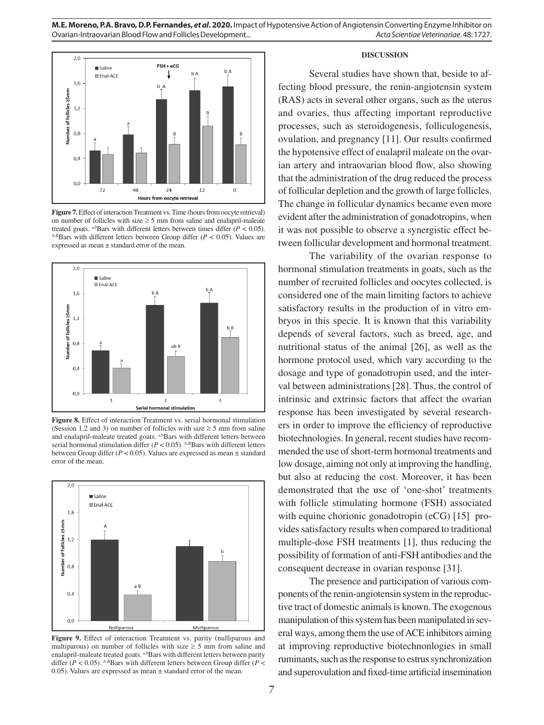

**Figure 7.** Effect of interaction Treatment vs. Time (hours from oocyte retrieval) on number of follicles with size  $\geq$  5 mm from saline and enalapril-maleate treated goats. <sup>a,b</sup>Bars with different letters between times differ ( $P < 0.05$ ). Values are A,bBars with different letters between Group differ ( $P < 0.05$ ). Values are expressed as mean ± standard error of the mean.



**Figure 8.** Effect of interaction Treatment vs. serial hormonal stimulation (Session 1.2 and 3) on number of follicles with size  $\geq$  5 mm from saline and enalapril-maleate treated goats. a,bBars with different letters between serial hormonal stimulation differ  $(P < 0.05)$ . A,BBars with different letters between Group differ (*P* < 0.05). Values are expressed as mean ± standard error of the mean.



Figure 9. Effect of interaction Treatment vs. parity (nulliparous and multiparous) on number of follicles with size  $\geq$  5 mm from saline and enalapril-maleate treated goats. <sup>a,b</sup>Bars with different letters between parity differ ( $P < 0.05$ ). A,BBars with different letters between Group differ ( $P <$ 0.05). Values are expressed as mean  $\pm$  standard error of the mean.

#### **DISCUSSION**

Several studies have shown that, beside to affecting blood pressure, the renin-angiotensin system (RAS) acts in several other organs, such as the uterus and ovaries, thus affecting important reproductive processes, such as steroidogenesis, folliculogenesis, ovulation, and pregnancy [11]. Our results confirmed the hypotensive effect of enalapril maleate on the ovarian artery and intraovarian blood flow, also showing that the administration of the drug reduced the process of follicular depletion and the growth of large follicles. The change in follicular dynamics became even more evident after the administration of gonadotropins, when it was not possible to observe a synergistic effect between follicular development and hormonal treatment.

The variability of the ovarian response to hormonal stimulation treatments in goats, such as the number of recruited follicles and oocytes collected, is considered one of the main limiting factors to achieve satisfactory results in the production of in vitro embryos in this specie. It is known that this variability depends of several factors, such as breed, age, and nutritional status of the animal [26], as well as the hormone protocol used, which vary according to the dosage and type of gonadotropin used, and the interval between administrations [28]. Thus, the control of intrinsic and extrinsic factors that affect the ovarian response has been investigated by several researchers in order to improve the efficiency of reproductive biotechnologies. In general, recent studies have recommended the use of short-term hormonal treatments and low dosage, aiming not only at improving the handling, but also at reducing the cost. Moreover, it has been demonstrated that the use of 'one-shot' treatments with follicle stimulating hormone (FSH) associated with equine chorionic gonadotropin (eCG) [15] provides satisfactory results when compared to traditional multiple-dose FSH treatments [1], thus reducing the possibility of formation of anti-FSH antibodies and the consequent decrease in ovarian response [31].

The presence and participation of various components of the renin-angiotensin system in the reproductive tract of domestic animals is known. The exogenous manipulation of this system has been manipulated in several ways, among them the use of ACE inhibitors aiming at improving reproductive biotechnonlogies in small ruminants, such as the response to estrus synchronization and superovulation and fixed-time artificial insemination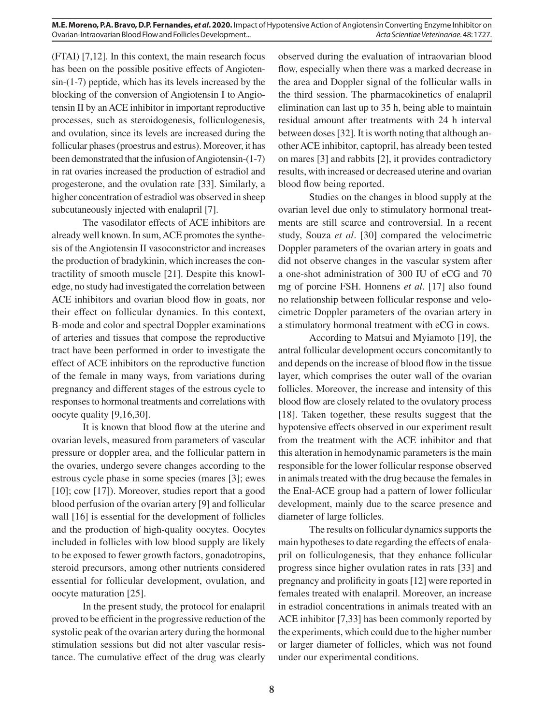(FTAI) [7,12]. In this context, the main research focus has been on the possible positive effects of Angiotensin-(1-7) peptide, which has its levels increased by the blocking of the conversion of Angiotensin I to Angiotensin II by an ACE inhibitor in important reproductive processes, such as steroidogenesis, folliculogenesis, and ovulation, since its levels are increased during the follicular phases (proestrus and estrus). Moreover, it has been demonstrated that the infusion of Angiotensin-(1-7) in rat ovaries increased the production of estradiol and progesterone, and the ovulation rate [33]. Similarly, a higher concentration of estradiol was observed in sheep subcutaneously injected with enalapril [7].

The vasodilator effects of ACE inhibitors are already well known. In sum, ACE promotes the synthesis of the Angiotensin II vasoconstrictor and increases the production of bradykinin, which increases the contractility of smooth muscle [21]. Despite this knowledge, no study had investigated the correlation between ACE inhibitors and ovarian blood flow in goats, nor their effect on follicular dynamics. In this context, B-mode and color and spectral Doppler examinations of arteries and tissues that compose the reproductive tract have been performed in order to investigate the effect of ACE inhibitors on the reproductive function of the female in many ways, from variations during pregnancy and different stages of the estrous cycle to responses to hormonal treatments and correlations with oocyte quality [9,16,30].

It is known that blood flow at the uterine and ovarian levels, measured from parameters of vascular pressure or doppler area, and the follicular pattern in the ovaries, undergo severe changes according to the estrous cycle phase in some species (mares [3]; ewes [10]; cow [17]). Moreover, studies report that a good blood perfusion of the ovarian artery [9] and follicular wall [16] is essential for the development of follicles and the production of high-quality oocytes. Oocytes included in follicles with low blood supply are likely to be exposed to fewer growth factors, gonadotropins, steroid precursors, among other nutrients considered essential for follicular development, ovulation, and oocyte maturation [25].

In the present study, the protocol for enalapril proved to be efficient in the progressive reduction of the systolic peak of the ovarian artery during the hormonal stimulation sessions but did not alter vascular resistance. The cumulative effect of the drug was clearly observed during the evaluation of intraovarian blood flow, especially when there was a marked decrease in the area and Doppler signal of the follicular walls in the third session. The pharmacokinetics of enalapril elimination can last up to 35 h, being able to maintain residual amount after treatments with 24 h interval between doses [32]. It is worth noting that although another ACE inhibitor, captopril, has already been tested on mares [3] and rabbits [2], it provides contradictory results, with increased or decreased uterine and ovarian blood flow being reported.

Studies on the changes in blood supply at the ovarian level due only to stimulatory hormonal treatments are still scarce and controversial. In a recent study, Souza *et al*. [30] compared the velocimetric Doppler parameters of the ovarian artery in goats and did not observe changes in the vascular system after a one-shot administration of 300 IU of eCG and 70 mg of porcine FSH. Honnens *et al*. [17] also found no relationship between follicular response and velocimetric Doppler parameters of the ovarian artery in a stimulatory hormonal treatment with eCG in cows.

According to Matsui and Myiamoto [19], the antral follicular development occurs concomitantly to and depends on the increase of blood flow in the tissue layer, which comprises the outer wall of the ovarian follicles. Moreover, the increase and intensity of this blood flow are closely related to the ovulatory process [18]. Taken together, these results suggest that the hypotensive effects observed in our experiment result from the treatment with the ACE inhibitor and that this alteration in hemodynamic parameters is the main responsible for the lower follicular response observed in animals treated with the drug because the females in the Enal-ACE group had a pattern of lower follicular development, mainly due to the scarce presence and diameter of large follicles.

The results on follicular dynamics supports the main hypotheses to date regarding the effects of enalapril on folliculogenesis, that they enhance follicular progress since higher ovulation rates in rats [33] and pregnancy and prolificity in goats [12] were reported in females treated with enalapril. Moreover, an increase in estradiol concentrations in animals treated with an ACE inhibitor [7,33] has been commonly reported by the experiments, which could due to the higher number or larger diameter of follicles, which was not found under our experimental conditions.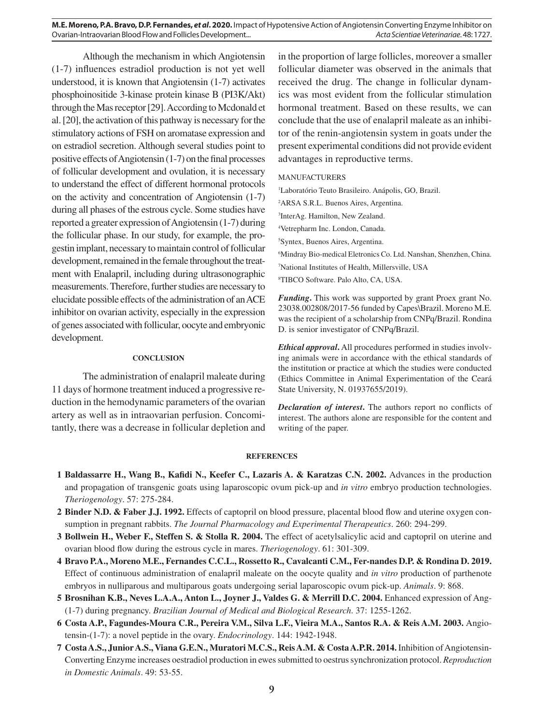Although the mechanism in which Angiotensin (1-7) influences estradiol production is not yet well understood, it is known that Angiotensin (1-7) activates phosphoinositide 3-kinase protein kinase B (PI3K/Akt) through the Mas receptor [29]. According to Mcdonald et al. [20], the activation of this pathway is necessary for the stimulatory actions of FSH on aromatase expression and on estradiol secretion. Although several studies point to positive effects of Angiotensin (1-7) on the final processes of follicular development and ovulation, it is necessary to understand the effect of different hormonal protocols on the activity and concentration of Angiotensin (1-7) during all phases of the estrous cycle. Some studies have reported a greater expression of Angiotensin (1-7) during the follicular phase. In our study, for example, the progestin implant, necessary to maintain control of follicular development, remained in the female throughout the treatment with Enalapril, including during ultrasonographic measurements. Therefore, further studies are necessary to elucidate possible effects of the administration of an ACE inhibitor on ovarian activity, especially in the expression of genes associated with follicular, oocyte and embryonic development.

#### **CONCLUSION**

The administration of enalapril maleate during 11 days of hormone treatment induced a progressive reduction in the hemodynamic parameters of the ovarian artery as well as in intraovarian perfusion. Concomitantly, there was a decrease in follicular depletion and in the proportion of large follicles, moreover a smaller follicular diameter was observed in the animals that received the drug. The change in follicular dynamics was most evident from the follicular stimulation hormonal treatment. Based on these results, we can conclude that the use of enalapril maleate as an inhibitor of the renin-angiotensin system in goats under the present experimental conditions did not provide evident advantages in reproductive terms.

#### MANUFACTURERS

1 Laboratório Teuto Brasileiro. Anápolis, GO, Brazil.

2 ARSA S.R.L. Buenos Aires, Argentina.

3 InterAg. Hamilton, New Zealand.

4 Vetrepharm Inc. London, Canada.

5 Syntex, Buenos Aires, Argentina.

6 Mindray Bio-medical Eletronics Co. Ltd. Nanshan, Shenzhen, China.

7 National Institutes of Health, Millersville, USA

8 TIBCO Software. Palo Alto, CA, USA.

*Funding***.** This work was supported by grant Proex grant No. 23038.002808/2017-56 funded by Capes\Brazil. Moreno M.E. was the recipient of a scholarship from CNPq/Brazil. Rondina D. is senior investigator of CNPq/Brazil.

*Ethical approval***.** All procedures performed in studies involving animals were in accordance with the ethical standards of the institution or practice at which the studies were conducted (Ethics Committee in Animal Experimentation of the Ceará State University, N. 01937655/2019).

*Declaration of interest***.** The authors report no conflicts of interest. The authors alone are responsible for the content and writing of the paper.

## **REFERENCES**

- **1 Baldassarre H., Wang B., Kafidi N., Keefer C., Lazaris A. & Karatzas C.N. 2002.** Advances in the production and propagation of transgenic goats using laparoscopic ovum pick-up and *in vitro* embryo production technologies. *Theriogenology*. 57: 275-284.
- **2 Binder N.D. & Faber J.J. 1992.** Effects of captopril on blood pressure, placental blood flow and uterine oxygen consumption in pregnant rabbits. *The Journal Pharmacology and Experimental Therapeutics*. 260: 294-299.
- **3 Bollwein H., Weber F., Steffen S. & Stolla R. 2004.** The effect of acetylsalicylic acid and captopril on uterine and ovarian blood flow during the estrous cycle in mares. *Theriogenology*. 61: 301-309.
- **4 Bravo P.A., Moreno M.E., Fernandes C.C.L., Rossetto R., Cavalcanti C.M., Fer-nandes D.P. & Rondina D. 2019.**  Effect of continuous administration of enalapril maleate on the oocyte quality and *in vitro* production of parthenote embryos in nulliparous and multiparous goats undergoing serial laparoscopic ovum pick-up. *Animals*. 9: 868.
- **5 Brosnihan K.B., Neves L.A.A., Anton L., Joyner J., Valdes G. & Merrill D.C. 2004.** Enhanced expression of Ang- (1-7) during pregnancy. *Brazilian Journal of Medical and Biological Research*. 37: 1255-1262.
- **6 Costa A.P., Fagundes-Moura C.R., Pereira V.M., Silva L.F., Vieira M.A., Santos R.A. & Reis A.M. 2003.** Angiotensin-(1-7): a novel peptide in the ovary. *Endocrinology*. 144: 1942-1948.
- **7 Costa A.S., Junior A.S., Viana G.E.N., Muratori M.C.S., Reis A.M. & Costa A.P.R. 2014.** Inhibition of Angiotensin-Converting Enzyme increases oestradiol production in ewes submitted to oestrus synchronization protocol. *Reproduction in Domestic Animals*. 49: 53-55.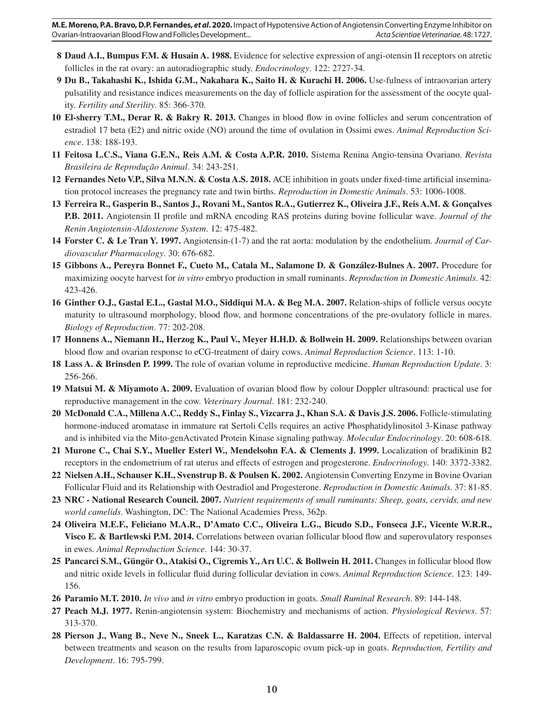- **8 Daud A.I., Bumpus F.M. & Husain A. 1988.** Evidence for selective expression of angi-otensin II receptors on atretic follicles in the rat ovary: an autoradiographic study. *Endocrinology*. 122: 2727-34.
- **9 Du B., Takahashi K., Ishida G.M., Nakahara K., Saito H. & Kurachi H. 2006.** Use-fulness of intraovarian artery pulsatility and resistance indices measurements on the day of follicle aspiration for the assessment of the oocyte quality. *Fertility and Sterility*. 85: 366-370.
- **10 El-sherry T.M., Derar R. & Bakry R. 2013.** Changes in blood flow in ovine follicles and serum concentration of estradiol 17 beta (E2) and nitric oxide (NO) around the time of ovulation in Ossimi ewes. *Animal Reproduction Science*. 138: 188-193.
- **11 Feitosa L.C.S., Viana G.E.N., Reis A.M. & Costa A.P.R. 2010.** Sistema Renina Angio-tensina Ovariano. *Revista Brasileira de Reprodução Animal*. 34: 243-251.
- **12 Fernandes Neto V.P., Silva M.N.N. & Costa A.S. 2018.** ACE inhibition in goats under fixed-time artificial insemination protocol increases the pregnancy rate and twin births. *Reproduction in Domestic Animals*. 53: 1006-1008.
- **13 Ferreira R., Gasperin B., Santos J., Rovani M., Santos R.A., Gutierrez K., Oliveira J.F., Reis A.M. & Gonçalves P.B. 2011.** Angiotensin II profile and mRNA encoding RAS proteins during bovine follicular wave. *Journal of the Renin Angiotensin-Aldosterone System*. 12: 475-482.
- **14 Forster C. & Le Tran Y. 1997.** Angiotensin-(1-7) and the rat aorta: modulation by the endothelium. *Journal of Cardiovascular Pharmacology*. 30: 676-682.
- **15 Gibbons A., Pereyra Bonnet F., Cueto M., Catala M., Salamone D. & González-Bulnes A. 2007.** Procedure for maximizing oocyte harvest for *in vitro* embryo production in small ruminants. *Reproduction in Domestic Animals*. 42: 423-426.
- **16 Ginther O.J., Gastal E.L., Gastal M.O., Siddiqui M.A. & Beg M.A. 2007.** Relation-ships of follicle versus oocyte maturity to ultrasound morphology, blood flow, and hormone concentrations of the pre-ovulatory follicle in mares. *Biology of Reproduction*. 77: 202-208.
- **17 Honnens A., Niemann H., Herzog K., Paul V., Meyer H.H.D. & Bollwein H. 2009.** Relationships between ovarian blood flow and ovarian response to eCG-treatment of dairy cows. *Animal Reproduction Science*. 113: 1-10.
- **18 Lass A. & Brinsden P. 1999.** The role of ovarian volume in reproductive medicine. *Human Reproduction Update*. 3: 256-266.
- **19 Matsui M. & Miyamoto A. 2009.** Evaluation of ovarian blood flow by colour Doppler ultrasound: practical use for reproductive management in the cow. *Veterinary Journal*. 181: 232-240.
- **20 McDonald C.A., Millena A.C., Reddy S., Finlay S., Vizcarra J., Khan S.A. & Davis J.S. 2006.** Follicle-stimulating hormone-induced aromatase in immature rat Sertoli Cells requires an active Phosphatidylinositol 3-Kinase pathway and is inhibited via the Mito-genActivated Protein Kinase signaling pathway. *Molecular Endocrinology*. 20: 608-618.
- **21 Murone C., Chai S.Y., Mueller Esterl W., Mendelsohn F.A. & Clements J. 1999.** Localization of bradikinin B2 receptors in the endometrium of rat uterus and effects of estrogen and progesterone. *Endocrinology*. 140: 3372-3382.
- **22 Nielsen A.H., Schauser K.H., Svenstrup B. & Poulsen K. 2002.** Angiotensin Converting Enzyme in Bovine Ovarian Follicular Fluid and its Relationship with Oestradiol and Progesterone. *Reproduction in Domestic Animals*. 37: 81-85.
- **23 NRC National Research Council. 2007.** *Nutrient requirements of small ruminants: Sheep, goats, cervids, and new world camelids*. Washington, DC: The National Academies Press, 362p.
- **24 Oliveira M.E.F., Feliciano M.A.R., D'Amato C.C., Oliveira L.G., Bicudo S.D., Fonseca J.F., Vicente W.R.R., Visco E. & Bartlewski P.M. 2014.** Correlations between ovarian follicular blood flow and superovulatory responses in ewes. *Animal Reproduction Science*. 144: 30-37.
- **25 Pancarci S.M., Güngör O., Atakisi O., Cigremis Y., Arı U.C. & Bollwein H. 2011.** Changes in follicular blood flow and nitric oxide levels in follicular fluid during follicular deviation in cows. *Animal Reproduction Science*. 123: 149- 156.
- **26 Paramio M.T. 2010.** *In vivo* and *in vitro* embryo production in goats. *Small Ruminal Research*. 89: 144-148.
- **27 Peach M.J. 1977.** Renin-angiotensin system: Biochemistry and mechanisms of action. *Physiological Reviews*. 57: 313-370.
- **28 Pierson J., Wang B., Neve N., Sneek L., Karatzas C.N. & Baldassarre H. 2004.** Effects of repetition, interval between treatments and season on the results from laparoscopic ovum pick-up in goats. *Reproduction, Fertility and Development*. 16: 795-799.